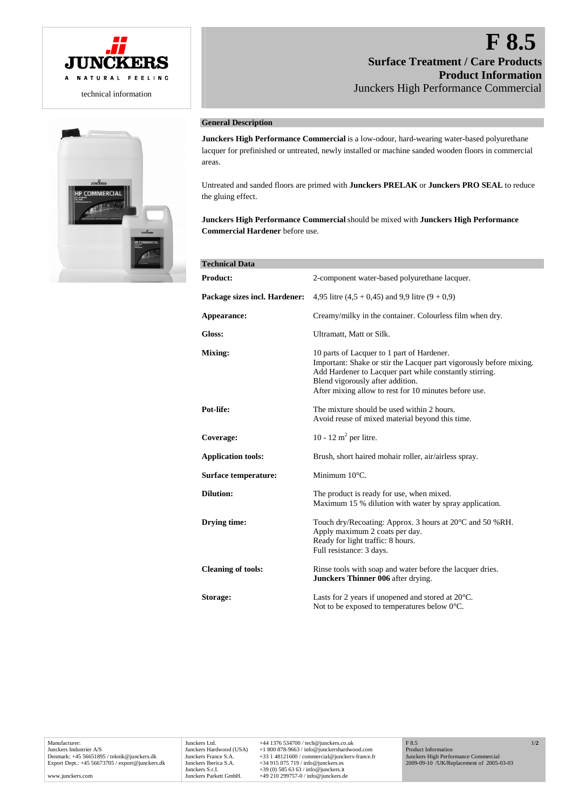



# **F 8.5 Surface Treatment / Care Products Product Information** Junckers High Performance Commercial

# **General Description**

**Junckers High Performance Commercial** is a low-odour, hard-wearing water-based polyurethane lacquer for prefinished or untreated, newly installed or machine sanded wooden floors in commercial areas.

Untreated and sanded floors are primed with **Junckers PRELAK** or **Junckers PRO SEAL** to reduce the gluing effect.

**Junckers High Performance Commercial** should be mixed with **Junckers High Performance Commercial Hardener** before use.

| <b>Technical Data</b>         |                                                                                                                                                                                                                                                                           |
|-------------------------------|---------------------------------------------------------------------------------------------------------------------------------------------------------------------------------------------------------------------------------------------------------------------------|
| <b>Product:</b>               | 2-component water-based polyurethane lacquer.                                                                                                                                                                                                                             |
| Package sizes incl. Hardener: | 4,95 litre $(4.5 + 0.45)$ and 9.9 litre $(9 + 0.9)$                                                                                                                                                                                                                       |
| Appearance:                   | Creamy/milky in the container. Colourless film when dry.                                                                                                                                                                                                                  |
| Gloss:                        | Ultramatt, Matt or Silk.                                                                                                                                                                                                                                                  |
| Mixing:                       | 10 parts of Lacquer to 1 part of Hardener.<br>Important: Shake or stir the Lacquer part vigorously before mixing.<br>Add Hardener to Lacquer part while constantly stirring.<br>Blend vigorously after addition.<br>After mixing allow to rest for 10 minutes before use. |
| Pot-life:                     | The mixture should be used within 2 hours.<br>Avoid reuse of mixed material beyond this time.                                                                                                                                                                             |
| Coverage:                     | 10 - 12 m <sup>2</sup> per litre.                                                                                                                                                                                                                                         |
| <b>Application tools:</b>     | Brush, short haired mohair roller, air/airless spray.                                                                                                                                                                                                                     |
| Surface temperature:          | Minimum $10^{\circ}$ C.                                                                                                                                                                                                                                                   |
| <b>Dilution:</b>              | The product is ready for use, when mixed.<br>Maximum 15 % dilution with water by spray application.                                                                                                                                                                       |
| Drying time:                  | Touch dry/Recoating: Approx. 3 hours at 20 <sup>o</sup> C and 50 %RH.<br>Apply maximum 2 coats per day.<br>Ready for light traffic: 8 hours.<br>Full resistance: 3 days.                                                                                                  |
| <b>Cleaning of tools:</b>     | Rinse tools with soap and water before the lacquer dries.<br>Junckers Thinner 006 after drying.                                                                                                                                                                           |
| Storage:                      | Lasts for 2 years if unopened and stored at $20^{\circ}$ C.<br>Not to be exposed to temperatures below $0^{\circ}$ C.                                                                                                                                                     |

Junckers Ltd. +44 1376 534700 / tech@junckers.co.uk<br>Junckers Hardwood (USA) +1 800 878-9663 / info@junckershardwc Junckers Hardwood (USA)<br>  $+1800878-9663 / \text{info@junckers}$ <br>
Junckers France S.A.  $+33148121600 / \text{commercial@iunckers}$ -france. Junckers France S.A. +33 1 48121600 / commercial@junckers-france.fr Junckers Iberica S.A. +34 915 075 719 / info@junckers.es Junckers S.r.I. +39 (0) 585 63 63 / info@junckers.it Junckers Parkett GmbH. +49 210 299757-0 / info@junckers.de

1/**2**